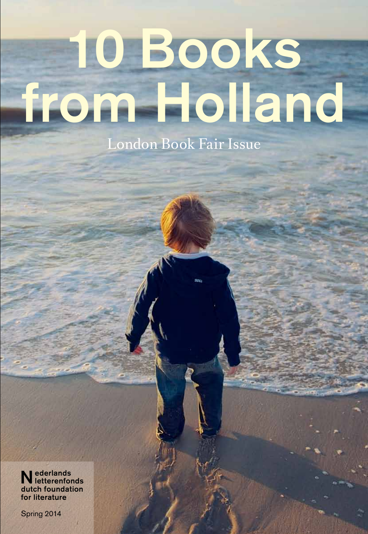# 10 Books from Holland London Book Fair Issue

Nederlands letterenfonds dutch foundation for literature

Spring 2014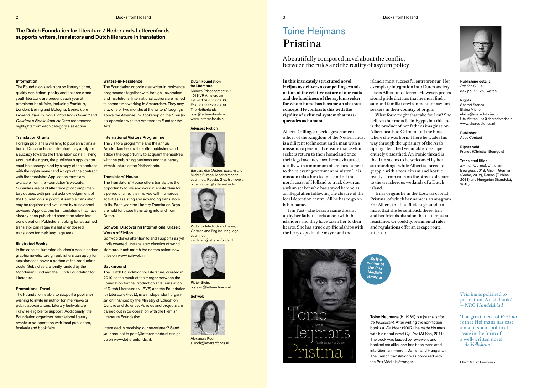**In this intricately structured novel, Heijmans delivers a compelling examination of the relative nature of our roots and the loneliness of the asylum seeker, for whom home has become an abstract concept. He contrasts this with the rigidity of a clinical system that masquerades as humane.**

Albert Drilling, a special government officer of the Kingdom of the Netherlands, is a diligent technocrat and a man with a mission: to personally ensure that asylum seekers return to their homeland once their legal avenues have been exhausted, ideally with a minimum of embarrassment to the relevant government minister. This mission takes him to an island off the north coast of Holland to track down an asylum seeker who has stayed behind as an illegal alien following the closure of the local detention centre. All he has to go on is her name.

Irin Past – she bears a name dreamt up by her father – feels at one with the islanders and they have taken her to their hearts. She has struck up friendships with the ferry captain, the mayor and the



island's most successful entrepreneur. Her exemplary integration into Dutch society leaves Albert undeterred. However, professional pride dictates that he must find a safe and familiar environment for asylum seekers in their country of origin. What form might that take for Irin? She believes her roots lie in Egypt, but this too is the product of her father's imagination. Albert heads to Cairo to find the house where she was born. There he wades his way through the uprisings of the Arab Spring, detached yet unable to escape

entirely unscathed. An ironic thread is that Irin seems to be welcomed by her surroundings, while Albert is forced to grapple with a recalcitrant and hostile reality – from riots on the streets of Cairo to the treacherous wetlands of a Dutch

island.

Irin's origins lie in the Kosovar capital Pristina, of which her name is an anagram. For Albert, this is sufficient grounds to insist that she be sent back there. Irin and her friends abandon their attempts at resistance. Or could governmental rules and regulations offer an escape route

after all?

# Toine Heijmans Pristina

A beautifully composed novel about the conflict between the rules and the reality of asylum policy



Publishing details *Pristina* (2014) 347 pp., 90,261 words

### **Rights**

Shared Stories Elaine Michon, elaine@sharedstories.nl Uta Matten, uta@sharedstories.nl www.sharedstories.nl

### Publisher

Atlas Contact

Rights sold France (Christian Bourgois)

# Translated titles

In the case of illustrated children's books and/or graphic novels, foreign publishers can apply for assistance to cover a portion of the production costs. Subsidies are jointly funded by the Mondriaan Fund and the Dutch Foundation for **Literature** 

*En mer* (Op zee). Christian Bourgois, 2013. Also in German (Arche, 2012), Danish (Turbine, 2013) and Hungarian (Gondolat, 2013).

Toine Heijmans (b. 1969) is a journalist for *de Volkskrant.* After writing the non-fiction book *La Vie Vinex* (2007), he made his mark with his debut novel *Op Zee* (At Sea, 2011). The book was lauded by reviewers and booksellers alike, and has been translated into German, French, Danish and Hungarian. The French translation was honoured with the Prix Médicis étranger.



'*Pristina* is polished to perfection. A rich book.' — *NRC Handelsblad* 

'The great merit of *Pristina* is that Heijmans has cast a major socio-political issue in the form of a well-written novel.' — *de Volkskrant*

The Dutch Foundation for Literature / Nederlands Letterenfonds supports writers, translators and Dutch literature in translation

# **Information**

Dutch Foundation for Literature Nieuwe Prinsengracht 89 1018 VR Amsterdam Tel. +31 20 520 73 00 Fax +31 20 520 73 99 The Netherlands post@letterenfonds.nl www.letterenfonds.nl

Advisors Fiction



Barbara den Ouden: Eastern and Middle Europe, Mediterranean countries, Russia. Graphic novels. b.den.ouden@letterenfonds.nl

By the <sup>winner</sup> of the Prix Médicis étranger



Victor Schiferli: Scandinavia, German and English-language countries v.schiferli@letterenfonds.nl



p.steinz@letterenfonds.nl

**Schwob** 



Alexandra Koch a.koch@letterenfonds.nl

The Foundation's advisors on literary fiction, quality non-fiction, poetry and children's and youth literature are present each year at prominent book fairs, including Frankfurt, London, Beijing and Bologna. *Books from Holland, Quality Non-Fiction from Holland* and *Children's Books from Holland* recommend highlights from each category's selection.

### Translation Grants

Foreign publishers wishing to publish a translation of Dutch or Frisian literature may apply for a subsidy towards the translation costs. Having acquired the rights, the publisher's application must be accompanied by a copy of the contract with the rights owner and a copy of the contract with the translator. Application forms are available from the Foundation's website. Subsidies are paid after receipt of complimentary copies, with printed acknowledgement of the Foundation's support. A sample translation may be required and evaluated by our external advisors. Applications for translations that have already been published cannot be taken into consideration. Publishers looking for a qualified translator can request a list of endorsed translators for their language area.

### Illustrated Books

## Promotional Travel

The Foundation is able to support a publisher wishing to invite an author for interviews or public appearances. Literary festivals are likewise eligible for support. Additionally, the Foundation organizes international literary events in co-operation with local publishers, festivals and book fairs.

# Writers-in-Residence

The Foundation coordinates writer-in-residence programmes together with foreign universities and institutions. International authors are invited to spend time working in Amsterdam. They may stay one or two months at the writers' lodgings above the Athenaeum Bookshop on the Spui (in co-operation with the Amsterdam Fund for the Arts).

# International Visitors Programme

The visitors programme and the annual Amsterdam Fellowship offer publishers and editors the opportunity to acquaint themselves with the publishing business and the literary infrastructure of the Netherlands.

### Translators' House

The Translators' House offers translators the opportunity to live and work in Amsterdam for a period of time. It is involved with numerous activities assisting and advancing translators' skills. Each year the Literary Translation Days are held for those translating into and from Dutch.

# Schwob: Discovering International Classic Works of Fiction

Schwob draws attention to and supports as-yet undiscovered, untranslated classics of world literature. Each month the editors select new titles on www.schwob.nl.

# **Background**

The Dutch Foundation for Literature, created in 2010 as the result of the merger between the Foundation for the Production and Translation of Dutch Literature (NLPVF) and the Foundation for Literature (FvdL), is an independent organization financed by the Ministry of Education, Culture and Science. Policies and projects are carried out in co-operation with the Flemish Literature Foundation.

Interested in receiving our newsletter? Send your request to post@letterenfonds.nl or sign up on www.letterenfonds.nl.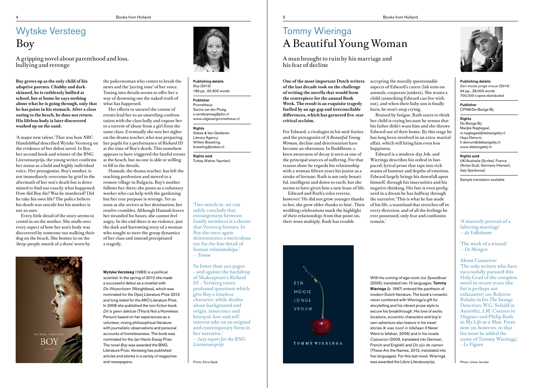**Boy grows up as the only child of his adoptive parents. Chubby and darkskinned, he is ruthlessly bullied at school, but at home he says nothing about what he is going through, only that he has pains in his stomach. After a class outing to the beach, he does not return. His lifeless body is later discovered washed up on the sand.**

'A major new talent.' That was how *NRC Handelsblad* described Wytske Versteeg on the evidence of her debut novel. In *Boy*, her second book and winner of the BNG Literatuurprijs, the young writer confirms her status as a bold and highly individual voice. Her protagonist, Boy's mother, is not immediately overcome by grief in the aftermath of her son's death but is determined to find out exactly what happened. How did Boy die? Was he murdered? Did he take his own life? The police believe his death was suicide but his mother is not so sure.

Every little detail of the story seems to crowd in on the mother. She mulls over every aspect of how her son's body was discovered by someone out walking their dog on the beach. She homes in on the 'deep-purple smock of a dress' worn by



the policewoman who comes to break the news and the 'jarring tone' of her voice. Tuning into details seems to offer her a way of drowning out the naked truth of what has happened.

Her efforts to unravel the course of events lead her to an unsettling confrontation with the class bully and expose her to a torrent of abuse from a girl from the same class. Eventually she sets her sights on the drama teacher, who was preparing her pupils for a performance of *Richard III* at the time of Boy's death. This somehow appears to have triggered the fateful events at the beach, but no one is able or willing to fill in the details.

Hannah, the drama teacher, has left the teaching profession and moved to a remote village in Bulgaria. Boy's mother follows her there; she poses as a voluntary worker who can help with the gardening but her true purpose is revenge. Yet as soon as she arrives at her destination, her resolve crumbles. Although Hannah leaves her stranded for hours, she cannot feel angry. In the end there is no violence, just the dark and harrowing story of a woman who sought to steer the group dynamics of her class and instead precipitated a tragedy.

# 4 Books from Holland Books from Holland Superintensity of the Superintensity of the Superintensity of the Books from Holland Superintensity of the Books from Holland Superintensity of the Superintensity of the Superintensi

# Wytske Versteeg Boy

A gripping novel about parenthood and loss, bullying and revenge

> Publishing details *Boy* (2013) 189 pp., 62,900 words

Publisher Prometheus Sarina van der Ploeg, s.vanderploeg@pbo.nl www.uitgeverijprometheus.nl

Rights Sebes & Van Gelderen Literary Agency Willem Bisseling, bisseling@sebes.nl

Rights sold Turkey (Kahve Yayınları)

Wytske Versteeg (1983) is a political scientist. In the spring of 2012 she made a successful debut as a novelist with *De Wezenlozen* (Weightless), which was nominated for the Opzij Literature Prize 2013 and long-listed for the AKO Literature Prize. In 2008 she published the non-fiction book *Dit is geen dakloze* (This Is Not a Homeless Person) based on her experiences as a volunteer, mixing philosophical literature with journalistic observations and personal accounts of homelessness. The book was nominated for the Jan Hanlo Essay Prize. The novel *Boy* was awarded the BNG Literature Prize. Versteeg has published articles and stories in a variety of magazines and newspapers.

'Two novels in, we can safely conclude that estrangement between family members is a theme that Versteeg favours. In *Boy* she once again demonstrates a meticulous eye for the fine detail of human relationships.' — *Trouw*

'In fewer than 200 pages – and against the backdrop of Shakespeare's *Richard III* – Versteeg raises profound questions which give Boy a timeless character, while doubts about background and origin, innocence and betrayal, love and selfinterest take on an original and contemporary form in her narrative.' — *Jury report for the BNG Literatuurprijs*

**One of the most important Dutch writers of the last decade took on the challenge of writing the novella that would form the centrepiece for the annual Book Week. The result is an exquisite tragedy fuelled by an age gap and irreconcilable differences, which has garnered five-star critical acclaim.**

For Edward, a virologist in his mid-forties and the protagonist of *A Beautiful Young Woman*, decline and deterioration have become an obsession. In Buddhism, a keen awareness of decay is seen as one of the principal sources of suffering. For that reason alone he regards his relationship with a woman fifteen years his junior as a stroke of fortune: Ruth is not only beautiful, intelligent and down to earth, but she seems to have given him a new lease of life. Edward and Ruth's roles reverse,

however: 'He did not grow younger thanks to her, she grew older thanks to him'. Their wedding celebrations mark the highlight of their relationship; from that point on, their woes multiply. Ruth has trouble

accepting the morally questionable aspects of Edward's career (lab tests on animals, corporate junkets). She wants a child (something Edward can live without), and when their baby son is finally born, he won't stop crying.

Bruised by fatigue, Ruth starts to think her child is crying because he senses that his father didn't want him and she throws Edward out of their home. By this stage he has long been involved in an extra-marital affair, which will bring him even less happiness.

Edward is a modern-day Job, and Wieringa describes his ordeal in fastpaced, lyrical prose that taps into rich seams of humour and depths of emotion. Edward largely brings his downfall upon himself, through his insecurities and his negative thinking. His fate is even prefigured in a dream he has halfway through the narrative: 'This is what he has made of his life, a wasteland that stretches off in every direction, and of all the feelings he ever possessed, only fear and confusion remain.'

# Tommy Wieringa A Beautiful Young Woman

A man brought to ruin by his marriage and his fear of decline

# Publishing details

*Een mooie jonge vrouw* (2014) 94 pp., 28,000 words 700,000 copies distributed

Publisher CPNB/De Bezige Bij

# Rights

De Bezige Bij Marijke Nagtegaal, m.nagtegaal@debezigebij.nl Hayo Deinum, h.deinum@debezigebij.nl www.debezigebij.nl

# Rights sold

UK/Australia (Scribe), France (Actes Sud), Germany (Hanser), Italy (Iperborea)

Sample translation available

With his coming-of-age novel *Joe Speedboat*  (2005), translated into 15 languages, Tommy Wieringa (b. 1967) entered the pantheon of modern Dutch literature. The book's romantic vision combined with Wieringa's gift for storytelling and his vibrant prose style to secure his breakthrough. His love of exotic locations, eccentric characters and boy'sown adventure also feature in his travel stories *Ik was nooit in Isfahaan* (I Never Went to Isfahan, 2006) and in his novels *Caesarion* (2009, translated into German, French and English) and *Dit zijn de namen*  (These Are the Names, 2012, translated into five languages). For this last novel, Wieringa





# 'A masterly portrait of a faltering marriage' — *de Volkskrant*

'The work of a wizard.' — *De Morgen*

About *Caesarion*: 'The only writers who have successfully pursued this Holy Grail of the complete novel in recent years (the list is perhaps not exhaustive) are Roberto Bolaño in his *The Savage Detectives*, W.G. Sebald in *Austerlitz*, J.M. Coetzee in *Disgrace* and Philip Roth in *My Life as a Man*. From now on, however, to that list must be added the name of Tommy Wieringa.' *– Le Figaro*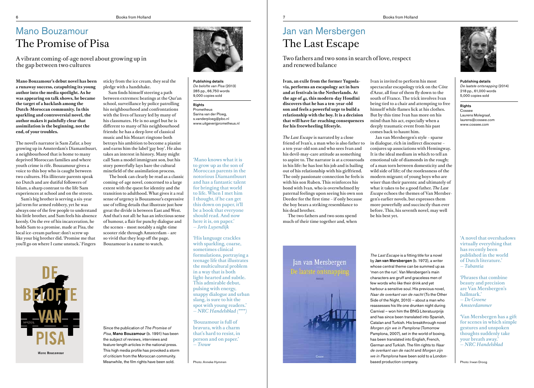**Mano Bouzamour's debut novel has been a runaway success, catapulting its young author into the media spotlight. As he was appearing on talk shows, he became the target of a backlash among the Dutch-Moroccan community. In this sparkling and controversial novel, the author makes it painfully clear that assimilation is the beginning, not the end, of your troubles.**

The novel's narrator is Sam Zafar, a boy growing up in Amsterdam's Diamantbuurt, a neighbourhood that is home to many deprived Moroccan families and where youth crime is rife. Bouzamour gives a voice to this boy who is caught between two cultures. His illiterate parents speak no Dutch and are dutiful followers of Islam, a sharp contrast to the life Sam experiences at school and on the streets.

Sam's big brother is serving a six-year jail term for armed robbery, yet he was always one of the few people to understand his little brother, and Sam feels his absence keenly. On the eve of his incarceration, he holds Sam to a promise, made at Pisa, the local ice-cream parlour: don't screw up like your big brother did. 'Promise me that you'll go on where I came unstuck.' Fingers

sticky from the ice cream, they seal the pledge with a handshake.

Sam finds himself steering a path between extremes: beatings at the Qur'an school, surveillance by police patrolling his neighbourhood and confrontations with the lives of luxury led by many of his classmates. He is no angel but he is different to many of his neighbourhood friends: he has a deep love of classical music and his Mozart ringtone both betrays his ambition to become a pianist and earns him the label 'gay boy'. He also takes an interest in history. Many might call Sam a model immigrant son, but his story powerfully lays bare the cultural

minefield of the assimilation process.

Mano Bouzamour



 The book can clearly be read as a classic coming-of-age novel, concerned to a large extent with the quest for identity and the transition to adulthood. What gives it a real sense of urgency is Bouzamour's expressive use of telling details that illustrate just how great the divide is between East and West. And that's not all: he has an infectious sense of humour, a flair for punchy dialogue and the scenes – most notably a night-time scooter ride through Amsterdam – are so vivid that they leap off the page. Bouzamour is a name to watch.

# Mano Bouzamour The Promise of Pisa

A vibrant coming-of-age novel about growing up in the gap between two cultures

> Publishing details *De belofte van Pisa* (2013) 285 pp., 66,750 words 9,000 copies sold

### Rights Prometheus

Sarina van der Ploeg, s.vanderploeg@pbo.nl www.uitgeverijprometheus.nl

Since the publication of *The Promise of Pisa*, Mano Bouzamour (b. 1991) has been the subject of reviews, interviews and feature-length articles in the national press. This high media profile has provoked a storm of criticism from the Moroccan community. Meanwhile, the film rights have been sold.

'Mano knows what it is to grow up as the son of Moroccan parents in the notorious Diamantbuurt and has a fantastic talent for bringing that world to life. When I met him I thought, if he can get this down on paper, it'll be a book that everyone should read. And now here it is, on paper.' — *Joris Luyendijk*

'His language crackles with sparkling, coarse, sometimes clinical formulations, portraying a teenage life that illustrates the multicultural problem in a way that is both light-hearted and subtle. This admirable debut, pulsing with energy, snappy dialogue and urban slang, is sure to hit the spot with young readers.' — *NRC Handelsblad (\*\*\*\*)*

'Bouzamour is full of bravura, with a charm that's hard to resist, in person and on paper.' — *Trouw* 

**Ivan, an exile from the former Yugoslavia, performs an escapology act in bars and at festivals in the Netherlands. At the age of 41, this modern-day Houdini discovers that he has a ten-year-old son and feels a powerful urge to build a relationship with the boy. It is a decision that will have far-reaching consequences for his freewheeling lifestyle.**

*The Last Escape* is narrated by a close friend of Ivan's, a man who is also father to a ten-year-old son and who sees Ivan and his devil-may-care attitude as something to aspire to. The narrator is at a crossroads in his life: he has lost his job and is bailing out of his relationship with his girlfriend. The only passionate connection he feels is with his son Ruben. This reinforces his bond with Ivan, who is overwhelmed by paternal feelings upon seeing his own son Deedee for the first time – if only because the boy bears a striking resemblance to his dead brother.

The two fathers and two sons spend much of their time together and, when

Jan van Mersbergen

Ivan is invited to perform his most spectacular escapology trick on the Côte d'Azur, all four of them fly down to the south of France. The trick involves Ivan being tied to a chair and attempting to free himself while flames lick at his clothes. But by this time Ivan has more on his mind than his act, especially when a deeply traumatic event from his past comes back to haunt him.

Jan van Mersbergen's style – sparse in dialogue, rich in indirect discourse – conjures up associations with Hemingway. It is the ideal medium in which to tell an emotional tale of diamonds in the rough; of a man torn between domesticity and the wild side of life; of the rootlessness of the modern migrant; of young boys who are wiser than their parents; and ultimately of what it takes to be a good father. *The Last Escape* echoes the themes of Van Mersbergen's earlier novels, but expresses them more powerfully and succinctly than ever before. This, his seventh novel, may well be his best yet.

# Jan van Mersbergen The Last Escape

Two fathers and two sons in search of love, respect and renewed balance

### Publishing details

*De laatste ontsnapping* (2014) 218 pp., 61,000 words 5,000 copies sold

# Rights

Cossee Laurens Molegraaf, laurens@cossee.com www.cossee.com

Photo: Anneke Hymmen Photo: Irwan Droog based production company. *The Last Escape* is a fitting title for a novel by Jan van Mersbergen (b. 1972), a writer whose central theme can be summed up as 'men on the run'. Van Mersbergen's main characters are gruff and graceless men of few words who like their drink and yet harbour a sensitive soul. His previous novel, *Naar de overkant van de nacht* (To the Other Side of the Night, 2010) – about a man who reassesses his life one drunken night during Carnival – won him the BNG Literatuurprijs and has since been translated into Spanish, Catalan and Turkish. His breakthrough novel *Morgen zijn we in Pamplona* (Tomorrow Pamplona, 2007), set in the world of boxing, has been translated into English, French, German and Turkish. The film rights to *Naar de overkant van de nacht* and *Morgen zijn we in Pamplona* have been sold to a London-

'A novel that overshadows virtually everything that has recently been published in the world of Dutch literature.' — *Tubantia*

'Phrases that combine beauty and precision are Van Mersbergen's hallmark.' — *De Groene Amsterdammer*

'Van Mersbergen has a gift for scenes in which simple gestures and unspoken thoughts suddenly take your breath away.' — *NRC Handelsblad*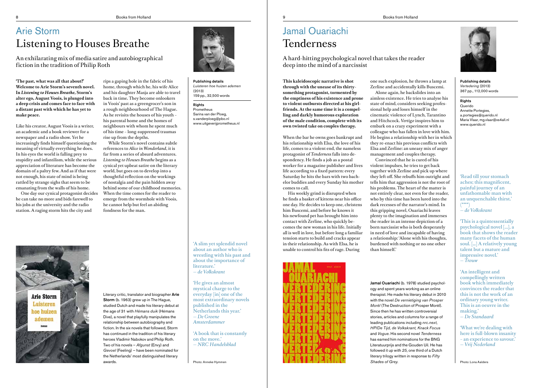**'The past, what was all that about?' Welcome to Arie Storm's seventh novel. In** *Listening to Houses Breathe***, Storm's alter ego, August Voois, is plunged into a deep crisis and comes face to face with a distant past with which he has yet to make peace.**

Like his creator, August Voois is a writer, an academic and a book reviewer for a newspaper and a radio show. Yet he increasingly finds himself questioning the meaning of virtually everything he does. In his eyes the world is falling prey to stupidity and infantilism, while the serious appreciation of literature has become the domain of a paltry few. And as if that were not enough, his state of mind is being rattled by strange sighs that seem to be emanating from the walls of his home.

One day our cynical protagonist decides he can take no more and bids farewell to his jobs at the university and the radio station. A raging storm hits the city and

rips a gaping hole in the fabric of his home, through which he, his wife Alice and his daughter Masja are able to travel back in time. They become onlookers in Voois' past as a greengrocer's son in a rough neighbourhood of The Hague. As he revisits the houses of his youth – his parental home and the homes of neighbours with whom he spent much of his time – long-suppressed traumas rise up from the depths.

While Storm's novel contains subtle references to *Alice in Wonderland*, it is far from a series of absurd adventures. *Listening to Houses Breathe* begins as a cynical yet upbeat satire on the literary world, but goes on to develop into a thoughtful reflection on the workings of nostalgia and the pain hidden away behind some of our childhood memories. When the time comes for the reader to emerge from the wormhole with Voois, he cannot help but feel an abiding fondness for the man.



# Arie Storm Listening to Houses Breathe

An exhilarating mix of media satire and autobiographical fiction in the tradition of Philip Roth

> Publishing details *Luisteren hoe huizen ademen* (2013) 159 pp., 32,500 words

# Rights

Prometheus Sarina van der Ploeg, s.vanderploeg@pbo.nl www.uitgeverijprometheus.nl

Literary critic, translator and biographer Arie Storm (b. 1963) grew up in The Hague, studied Dutch and made his literary debut at the age of 31 with *Hémans duik* (Hémans Dive), a novel that playfully manipulates the relationship between autobiography and fiction. In the six novels that followed, Storm has continued in the tradition of his literary heroes Vladimir Nabokov and Philip Roth. Two of his novels – *Afgunst* (Envy) and *Gevoel* (Feeling) – have been nominated for the Netherlands' most distinguished literary awards.

'A slim yet splendid novel about an author who is wrestling with his past and about the importance of literature.' — *de Volkskrant*

'He gives an almost mystical charge to the everyday [in] one of the most extraordinary novels published in the Netherlands this year.' — *De Groene Amsterdammer*

'A book that is constantly on the move.' — *NRC Handelsblad*

Jamal Ouariachi (b. 1978) studied psychology and spent years working as an online therapist. He made his literary debut in 2010 with the novel *De vernietiging van Prosper Morèl* (The Destruction of Prosper Morèl). stories, articles and columns for a range of leading publications including *nrc.next, HP/De Tijd, de Volkskrant, Knack Focus* and *Vogue*. His second novel *Tenderness* has earned him nominations for the BNG Literatuurprijs and the Gouden Uil. He has followed it up with *25*, one third of a Dutch literary trilogy written in response to *Fifty* 



**This kaleidoscopic narrative is shot through with the unease of its thirtysomething protagonist, tormented by the emptiness of his existence and prone to violent outbursts directed at his girlfriends. At the same time it is a compelling and darkly humorous exploration of the male condition, complete with its own twisted take on couples therapy.**

When the bar he owns goes bankrupt and his relationship with Elsa, the love of his life, comes to a violent end, the nameless protagonist of *Tenderness* falls into despondency. He finds a job as a postal worker for a magazine publisher and lives life according to a fixed pattern: every Saturday he hits the bars with two bachelor buddies and every Sunday his mother comes to call.

His weekly grind is disrupted when he finds a basket of kittens near his office one day. He decides to keep one, christens him Buscemi, and before he knows it his newfound pet has brought him into contact with Zerline, who quickly becomes the new woman in his life. Initially all is well in love, but before long a familiar tension starts to build and cracks appear in their relationship. As with Elsa, he is unable to control his fits of rage. During



one such explosion, he throws a lamp at Zerline and accidentally kills Buscemi. Alone again, he backslides into an aimless existence. He tries to analyse his state of mind, considers seeking professional help and loses himself in the cinematic violence of Lynch, Tarantino and Hitchcock. *Vertigo* inspires him to embark on a crazy experiment with a colleague who has fallen in love with him. He begins a relationship with her in which they re-enact his previous conflicts with Elsa and Zerline: an uneasy mix of anger management and couples therapy. Convinced that he is cured of his violent impulses, he tries to get back together with Zerline and pick up where they left off. She rebuffs him outright and tells him that aggression is not the root of his problems. The heart of the matter is not entirely clear, not even for the reader, who by this time has been lured into the dark recesses of the narrator's mind. In this gripping novel, Ouariachi leaves plenty to the imagination and immerses the reader in an intense depiction of a born narcissist who is both desperately in need of love and incapable of having a relationship: 'Alone with his thoughts,

burdened with nothing or no one other than himself.'

# **Arie Storm** Luisteren hoe huizen ademen

# Jamal Ouariachi Tenderness

A hard-hitting psychological novel that takes the reader deep into the mind of a narcissist

> Publishing details *Vertedering* (2013) 367 pp., 112,000 words

# Rights

Querido Annette Portegies, a.portegies@querido.nl Maria Vlaar, mg.vlaar@xs4all.nl www.querido.nl

# Since then he has written controversial

*Shades of Grey.* 

'Read till your stomach aches; this magnificent, painful journey of an unfathomable man with an unquenchable thirst.' (\*\*\*\*) — *de Volkskrant* 

'This is a quintessentially psychological novel [...], a book that shows the reader many facets of the human soul. […] A relatively young talent but a mature and impressive novel.' — *Trouw*

'An intelligent and compellingly written book which immediately convinces the reader that this is not the work of an ordinary young writer. This is an oeuvre in the making.' — *De Standaard*

'What we're dealing with here is full-blown insanity – an experience to savour.' — *Vrij Nederland*

Photo: Anneke Hymmen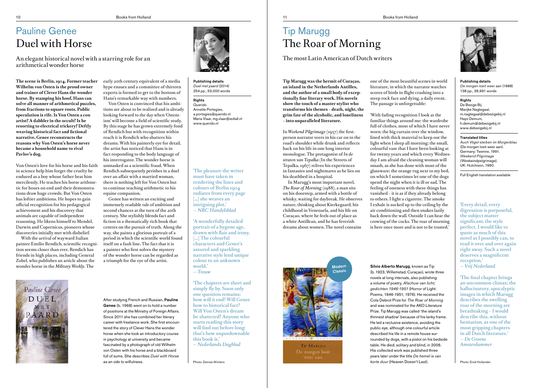**The scene is Berlin, 1904. Former teacher**  early 20th century equivalent of a media **Wilhelm von Osten is the proud owner and trainer of Clever Hans the wonder horse. By stamping his hoof, Hans can solve all manner of arithmetical puzzles, from fractions to square roots. Public speculation is rife. Is Von Osten a con artist? A dabbler in the occult? Is he resorting to electrical trickery? Deftly weaving historical fact and fictional narrative, Genee reconstructs the reasons why Von Osten's horse never became a household name to rival Pavlov's dog.**

Von Osten's love for his horse and his faith in science help him forget the cruelty he endured as a boy whose father beat him mercilessly. He teaches his horse arithmetic for hours on end and their demonstrations draw huge crowds. But Von Osten has loftier ambitions. He hopes to gain official recognition for his pedagogical achievement and his discovery that animals are capable of independent reasoning. He likens himself to Mendel, Darwin and Copernicus, pioneers whose discoveries initially met with disbelief.

With the arrival of wayward Italian painter Emilio Rendich, scientific recognition seems closer than ever. Rendich has friends in high places, including General Zobel, who publishes an article about the wonder horse in the *Military Weekly.* The

hype ensues and a committee of thirteen experts is formed to get to the bottom of Hans's remarkable way with numbers.

> **Querido** Annette Portegies, a.portegies@querido.nl Maria Vlaar, mg.vlaar@xs4all.nl www.querido.nl

Von Osten is convinced that his ambitions are about to be realized and is already looking forward to the day when 'Ostentism' will become a field of scientific study. By this stage he has grown extremely fond of Rendich but with recognition within reach it is Rendich who shatters his dreams. With his painterly eye for detail, the artist has noticed that Hans is in fact responding to the body language of his interrogator. The wonder horse is unmasked as a scientific fraud. When Rendich subsequently perishes in a duel over an affair with a married woman, there is nothing left for Von Osten but to continue teaching arithmetic to his equine companion.

Genee has written an exciting and immensely readable tale of ambition and second chances at the turn of the 20th century. She stylishly blends fact and fiction in a thematically rich book that centres on the pursuit of truth. Along the way, she paints a glorious portrait of a period in which the scientific world found itself on a fault line. The fact that it is a painter who first solves the mystery of the wonder horse can be regarded as a triumph for the eye of the artist.



# Pauline Genee Duel with Horse

An elegant historical novel with a starring role for an arithmetical wonder horse

> Publishing details *Duel met paard* (2014) 254 pp., 53,000 words

# **Rights**

Photo: Denise Winters

After studying French and Russian, Pauline Genee (b. 1968) went on to hold a number of positions at the Ministry of Foreign Affairs. Since 2011 she has combined her literary career with freelance work. She first encountered the story of Clever Hans the wonder horse when she took an introductory course in psychology at university and became fascinated by a photograph of old Wilhelm von Osten with his horse and a blackboard full of sums. She describes *Duel with Horse* as an ode to wilfulness.

'The pleasure the writer must have taken in rendering the lines and colours of Berlin 1904 radiates from every page [...] she weaves an intriguing plot.' — *NRC Handelsblad* 

'A wonderfully detailed portrait of a bygone age, drawn with flair and irony. [...] The colourful characters and Genee's assured and sparkling narrative style lend unique colour to an unknown world.' — *Trouw* 

Silvio Alberto Marugg, known as Tip (b. 1923, Willemstad, Curaçao), wrote three novels at long intervals, also publishing a volume of poetry, *Afschuw van licht; gedichten 1946-1951* (Horror of Light: Poems, 1946-1951; 1976). He received the Cola Debrot Prize for *The Roar of Morning* and was nominated for the AKO Literature Prize. Tip Marugg was called 'the island's thinnest shadow' because of his lanky frame. He led a reclusive existence, avoiding the public eye, although one colourful article described his life in a remote house surrounded by dogs, with a pistol on his bedside table. He died, solitary and blind, in 2006. His collected work was published three years later under the title *De hemel is van korte duur* (Heaven Doesn't Last).

'The chapters are short and simply fly by. Soon only one question remains: how will it end? Will Genee bow to historical fact? Will Von Osten's dream be shattered? Anyone who starts reading this story will find out before long: that's how unputdownable this book is.' — *Nederlands Dagblad*

**Tip Marugg was the hermit of Curaçao, an island in the Netherlands Antilles, and the author of a small body of exceptionally fine literary work. His novels show the touch of a master stylist who transforms his themes – death, night, the grim fate of the alcoholic, and loneliness – into unparalleled literature.** 

In *Weekend Pilgrimage* (1957) the firstperson narrator veers in his car on to the road's shoulder while drunk and reflects back on his life in one long interior monologue. The protagonist of *In de straten van Tepalka* (In the Streets of Tepalka, 1967) relives his experiences in fantasies and nightmares as he lies on his deathbed in a hospital.

In Marugg's most important novel, *The Roar of Morning* (1988), a man sits on his doorstep, armed with a bottle of whisky, waiting for daybreak. He observes nature, thinking about Kierkegaard, his childhood in Venezuela, and his life on Curaçao, where he feels out of place as a white Antillean, and he has feverish dreams about women. The novel contains

one of the most beautiful scenes in world literature, in which the narrator watches scores of birds in flight crashing into a steep rock face and dying, a daily event.



The passage is unforgettable:

'With fading recognition I look at the familiar things around me: the wardrobe full of clothes, most of which I have never worn; the big curtain over the window, lined with thick material to keep out the light when I sleep all morning; the small, colourful vase that I have been looking at for twenty years and which every Wednesday I am afraid the cleaning woman will smash, as she has done with most of the glassware; the orange rug next to my bed, on which I sometimes let one of the dogs spend the night when it is ill or sad. The feeling of oneness with these things has vanished – it is as if they already belong to others. I light a cigarette. The smoke I exhale is sucked up to the ceiling by the air conditioning and then snakes lazily back down the wall. Outside I can hear the crowing of the cocks. The roar of morning is here once more and is not to be trusted.'

# Pauline Genee



# Tip Marugg The Roar of Morning

The most Latin American of Dutch writers

### Publishing details

*De morgen loeit weer aan* (1988) 138 pp., 36,991 words

# **Rights**

De Bezige Bij Marijke Nagtegaal, m.nagtegaal@debezigebij.nl Hayo Deinum, h.deinum@debezigebij.nl www.debezigebij.nl

# Translated titles

*Auch Vögel sterben im Morgenblau* (De morgen loeit weer aan). Germany: Twenne, 1991. *Weekend Pilgrimage*  (Weekeindpelgrimage). UK: Hutchison, 1960.

Full English translation available

'Every detail, every digression is purposeful, the subject matter significant, the style perfect. I would like to quote as much of this novel as I possibly can, to read it over and over again right away. Such a novel deserves a magnificent reception.' — *Vrij Nederland*

'The final chapter brings an uncommon climax; the hallucinatory, apocalyptic images in which Marugg describes the swelling roar of the morning are breathtaking – I would describe this, without hesitation, as one of the most gripping chapters in all Dutch literature.' — *De Groene Amsterdammer*



De morgen loeit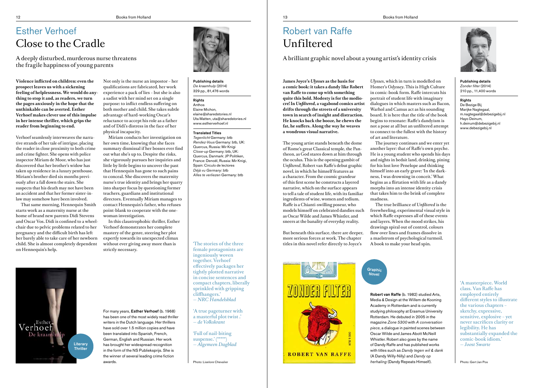**Violence inflicted on children: even the prospect leaves us with a sickening feeling of helplessness. We would do anything to stop it and, as readers, we turn the pages anxiously in the hope that the unthinkable can be averted. Esther Verhoef makes clever use of this impulse in her intense thriller, which grips the reader from beginning to end.** 

Verhoef seamlessly interweaves the narrative strands of her tale of intrigue, placing the reader in close proximity to both crime and crime fighter. She opens with police inspector Miriam de Moor, who has just discovered that her brother's widow has taken up residence in a luxury penthouse. Miriam's brother died six months previously after a fall down the stairs. She suspects that his death may not have been an accident and that her former sister-inlaw may somehow have been involved.

That same morning, Hennequin Smith starts work as a maternity nurse at the home of brand new parents Didi Stevens and Oscar Vos. Didi is confined to a wheelchair due to pelvic problems related to her pregnancy and the difficult birth has left her barely able to take care of her newborn child. She is almost completely dependent on Hennequin's help.

Not only is the nurse an impostor – her qualifications are fabricated, her work experience a pack of lies – but she is also a sadist with her mind set on a single purpose: to inflict endless suffering on both mother and child. She takes subtle advantage of hard-working Oscar's reluctance to accept his role as a father and of Didi's distress in the face of her physical incapacity.

Miriam conducts her investigation on her own time, knowing that she faces summary dismissal if her bosses ever find out what she's up to. Despite the risks, she vigorously pursues her inquiries and little by little begins to uncover the past that Hennequin has gone to such pains to conceal. She discovers the maternity nurse's true identity and brings her quarry into sharper focus by questioning former teachers, guardians and institutional directors. Eventually Miriam manages to contact Hennequin's father, who refuses point-blank to cooperate with the onewoman investigation.

In this claustrophobic thriller, Esther Verhoef demonstrates her complete mastery of the genre, steering her plot expertly towards its unexpected climax without ever giving away more than is strictly necessary.

# Esther Verhoef Close to the Cradle

A deeply disturbed, murderous nurse threatens the fragile happiness of young parents

> Publishing details *De kraamhulp* (2014) 329 pp., 81,476 words

# **Rights**

Anthos Elaine Michon, elaine@sharedstories.nl Uta Matten, uta@sharedstories.nl www.estherverhoef.nl

# Translated Titles

*Tegenlicht* Germany: btb *Rendez-Vous* Germany: btb, UK: Quercus, Russia: Mir Knigi *Close-up* Germany: btb, UK: Quercus, Danmark: JP Politiken, France: Denoël, Russia: Mir Knigi, Spain: Circulo de lectores *Déjà vu Germany*: btb *Alles te verliezen* Germany: btb

For many years, Esther Verhoef (b. 1968) has been one of the most widely read thriller writers in the Dutch language. Her thrillers have sold over 1.5 million copies and have been translated into Spanish, French, German, English and Russian. Her work has brought her widespread recognition in the form of the NS Publieksprijs. She is the winner of several leading crime fiction awards.

'The stories of the three female protagonists are ingeniously woven together. Verhoef effectively packages her tightly plotted narrative in concise sentences and compact chapters, liberally sprinkled with gripping cliffhangers.' — *NRC Handelsblad*

Graphic **Novel** 

'A true pageturner with a masterful plot twist .' — *de Volkskrant*

'Full of nail-biting suspense.' (\*\*\*\*\*) — *Algemeen Dagblad*

**James Joyce's** *Ulysses* **as the basis for a comic book: it takes a dandy like Robert van Raffe to come up with something quite this bold. Modesty is for the mediocre! In** *Unfiltered***, a vagabond comics artist drifts through the streets of a university town in search of insight and distraction. He knocks back the booze, he chews the fat, he suffers. Along the way he weaves a wondrous visual narrative.**

The young artist stands beneath the dome of Rome's great Classical temple, the Pantheon, as God stares down at him through the oculus. This is the opening gambit of *Unfiltered*, Robert van Raffe's debut graphic novel, in which he himself features as a character. From the cosmic grandeur of this first scene he constructs a layered narrative, which on the surface appears to tell a tale of student life, with its familiar ingredients of wine, women and tedium. Raffe is a Chianti-swilling poseur, who models himself on celebrated dandies such as Oscar Wilde and James Whistler, and sneers at the banality of everyday reality.

But beneath this surface, there are deeper, more serious forces at work. The chapter titles in this novel refer directly to Joyce's

*Ulysses*, which in turn is modelled on Homer's *Odyssey*. This is High Culture in comic-book form. Raffe intercuts his portrait of student life with imaginary dialogues in which masters such as Bacon, Warhol and Camus act as his sounding board. It is here that the title of the book begins to resonate: Raffe's dandyism is not a pose at all but an unfiltered attempt to connect to the fullest with the history of art and literature.

The journey continues and we enter yet another layer: that of Raffe's own psyche. He is a young student who spends his days and nights in bedsit land, drinking, pining for his lost love Penelope and thinking himself into an early grave: 'In the darkness, I was drowning in conceit.' What begins as a flirtation with life as a dandy morphs into an intense identity crisis that takes him to the brink of complete



madness.

The true brilliance of *Unfiltered* is the freewheeling, experimental visual style in which Raffe expresses all of these events and layers. When the mood strikes, his drawings spiral out of control, colours flow over lines and frames dissolve in a maelstrom of psychological turmoil. A book to make your head spin.

# Robert van Raffe Unfiltered

A brilliant graphic novel about a young artist's identity crisis

Publishing details *Zonder filter* (2014) 210 pp., 11,400 words

# Rights

De Bezige Bij Marijke Nagtegaal, m.nagtegaal@debezigebij.nl Hayo Deinum, h.deinum@debezigebij.nl www.debezigebij.nl

'A masterpiece. World class. Van Raffe has employed entirely different styles to illustrate the various chapters – sketchy, expressive, sensitive, explosive – yet never sacrifices clarity or legibility. He has substantially expanded the comic-book idiom.' — *Joost Swarte*



Robert van Raffe (b. 1982) studied Arts, Media & Design at the Willem de Kooning Academy in Rotterdam and is currently studying philosophy at Erasmus University Rotterdam. He debuted in 2005 in the magazine *Zone 5300* with *A conversation piece*, a dialogue in painted scenes between Oscar Wilde and James Abott McNeill Whistler. Robert also goes by the name of Dandy Raffe and has published works with titles such as *Dandy tegen wil & dank* (A Dandy Willy-Nilly) and *Dandy op* 

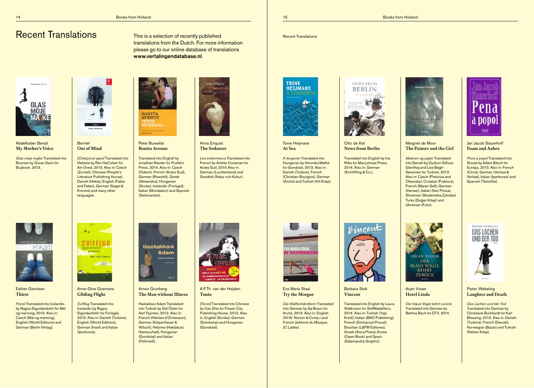# Recent Translations

Toine Heijmans **At Sea**

*A tengeren* Translated into Hungarian by Veronika Máthé for Gondolat, 2013. Also in: Danish (Turbine), French (Christian Bourgois), German (Arche) and Turkish (Hit Kitap).



Otto de Kat **News from Berlin**

Translated into English by Ina Rilke for MacLehose Press, 2014. Also in: German (Schöffling & Co.).



# Margriet de Moor **The Painter and the Girl**

*Maleren og pigen* Translated into Danish by Gudrun Gilhuis-Glenthøj and Lise Bøgh-Sørensen for Turbine, 2013. Also in: Czech (Pistorius and Olsanska), Croatian (Fraktura), French (Maren Sell), German (Hanser), Italian (Neri Pozza), Slovenian (Studentska Zalozba) Turks (Dogan Kitap) and Ukrainian (Folio).



# Jan Jacob Slauerhoff **Foam and Ashes**

*Pena a popol* Translated into Slovak by Adam Bžoch for Európa, 2013. Also in: French (Circé), German (Vertaal & Verlaat), Italian (Iperborea) and Spanish (Textofilia).



*Die Waffenhändlerin* Translated into German by Ilja Braun for Arche, 2013. Also in: English (W.W. Norton & Comp.) and French (éditions du Masque, JC Lattès).



Esther Gerritsen **Thirst**

*Porsti* Translated into Icelandic by Ragna Sigurdardottir for Mál og menning, 2013. Also in: Czech (Mál og menning), English (World Editions) and German (Berlin Verlag).



Anne-Gine Goemans **Gliding Flight**

# **Arian Visser Hotel Linda**

*Svifflug* Translated into Icelandic by Ragna Sigurdardottir for Forlagid. 2013. Also in: Danish (Turbine), English (World Editions), German (Insel) and Italian (Iperborea).



Arnon Grunberg **The Man without Illness**

Hastalıksız Adam Translated into Turkish by Gül Özlen for Alef Yayinevi, 2013. Also in: French (Héloïse d'Ormesson), German (Kiepenheuer & Witsch), Hebrew (Hakibbutz Hameuchad), Hungarian (Gondolat) and Italian (Feltrinelli).



A.F.Th. van der Heijden **Tonio**

[*Tonio]* Translated into Chinese by Can Zhai for Flower City Publishing House, 2013. Also in: English (Scribe), German (Suhrkamp) and Hungarian (Gondolat).



Eva Maria Staal **Try the Morgue** Barbara Stok **Vincent**

Translated into English by Laura Watkinson for SelfMadeHero, 2014. Also in: Turkish (Yapi Kredi), Italian (BAO Publishing), French (Emmanuel Proust), Brazilian (L&PM Editores), Greek (Aiora Press), Korea (Open Book) and Spain (Salamandra Graphic).



*Der blaue Vogel kehrt zurück* Translated into German by Bettina Bach for DTV, 2014.



# Pieter Webeling **Laughter and Death**

*Das Lachen und der Tod* Translated into German by Christiane Burkhardt for Karl Blessing, 2013. Also in: Danish (Turbine), French (Denoël), Norwegian (Bazar) and Turkish (Neben Kitap).

This is a selection of recently published

translations from the Dutch. For more information please go to our online database of translations

www.vertalingendatabase.nl.

Recent Translations

Abdelkader Benali **My Mother's Voice**

*Glas moje majke* Translated into Bosnian by Goran Saric for Buybook, 2013.



Bernlef **Out of Mind**

*[Chezjonot sjaw]* Translated into Hebrew by Ran HaCohen for Am Oved, 2013. Also in: Czech (Za tratí), Chinese (People's Literature Publishing House), Danish (Hekla), English (Faber and Faber), German (Nagel & Kimche) and many other languages.



Peter Buwalda **Bonita Avenue**

Translated into English by Jonathan Reeder for Pushkin Press, 2014. Also in: Czech (Odeon), French (Actes Sud), German (Rowohlt), Greek (Alexandria), Hungarian (Scolar), Icelandic (Forlagid), Italian (Mondadori) and Spanish (Salamandra).



Anna Enquist **The Sedators**

*Les endormeurs* Translated into French by Arlette Ounanian for Actes Sud, 2014.Also in: German (Luchterhand) and Swedish (Natur och Kultur).